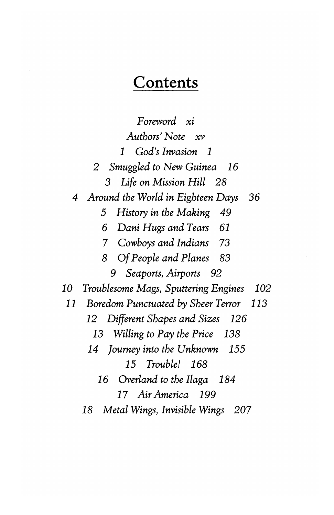## **Contents**

*Foreword xz Authors' Note xv 1 God's Invasion 1 2 Smuggled to New Guinea 16 3 Life on Mission Hill 28 4 Around the World in Eighteen Days 36 5 History in the Making 49 6 Dani Hugs and Tears 61*  7 *Cowboys and Indians 73 8 Of People and Planes 83*  9 *Seaports, Airports 92 10 Troublesome Mags, Sputtering Engines 102 11 Boredom Punctuated by Sheer Terror 113 12 Different Shapes and Sizes 126 13 Willing to Pay the Price 138 14 Journey into the Unknown 155 15 Trouble! 168 16 Overland to the Ilaga 184 17 Air America 199 18 Metal Wings, Invisible Wings 207*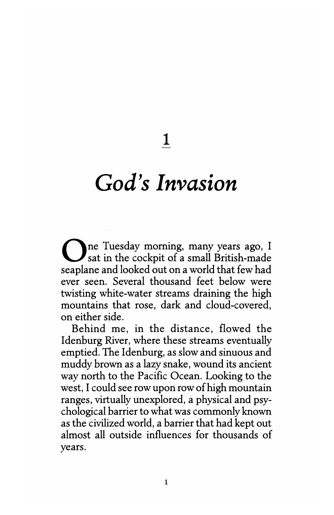**1** 

## *God's Invasion*

One Tuesday morning, many years ago, I sat in the cockpit of a small British-made seaplane and looked out on a world that few had ever seen. Several thousand feet below were twisting white-water streams draining the high mountains that rose, dark and cloud-covered, on either side.

Behind me, in the distance, flowed the Idenburg River, where these streams eventually emptied. The Idenburg, as slow and sinuous and muddy brown as a lazy snake, wound its ancient way north to the Pacific Ocean. Looking to the west, I could see row upon row of high mountain ranges, virtually unexplored, a physical and psychological barrier to what was commonly known as the civilized world, a barrier that had kept out almost all outside influences for thousands of years.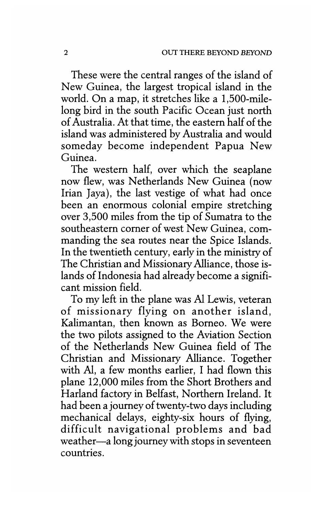These were the central ranges of the island of New Guinea, the largest tropical island in the world. On a map, it stretches like a 1,500-milelong bird in the south Pacific Ocean just north of Australia. At that time, the eastern half of the island was administered by Australia and would someday become independent Papua New Guinea.

The western half, over which the seaplane now flew, was Netherlands New Guinea (now Irian Jaya), the last vestige of what had once been an enormous colonial empire stretching over 3,500 miles from the tip of Sumatra to the southeastern corner of west New Guinea, commanding the sea routes near the Spice Islands. In the twentieth century, early in the ministry of The Christian and Missionary Alliance, those islands of Indonesia had already become a significant mission field.

To my left in the plane was A1 Lewis, veteran of missionary flying on another island, Kalimantan, then known as Borneo. We were the two pilots assigned to the Aviation Section of the Netherlands New Guinea field of The Christian and Missionary Alliance. Together with Al, a few months earlier, I had flown this plane 12,000 miles from the Short Brothers and Harland factory in Belfast, Northern Ireland. It had been a journey of twenty-two days including mechanical delays, eighty-six hours of flying, difficult navigational problems and bad weather—a long journey with stops in seventeen countries.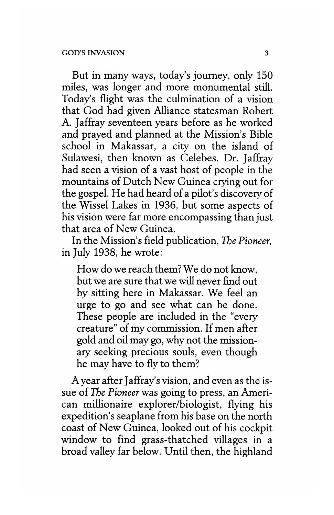But in many ways, today's journey, only 150 miles, was longer and more monumental still. Today's flight was the culmination of a vision that God had given Alliance statesman Robert A. Jaffray seventeen years before as he worked and prayed and planned at the Mission's Bible school in Makassar, a city on the island of Sulawesi, then known as Celebes. Dr. Jaffray had seen a vision of a vast host of people in the mountains of Dutch New Guinea crying out for the gospel. He had heard of a pilot's discovery of the gospel. He had heard of a phot's discovery of the Wissel Lakes in 1930, but some aspects of his vision were far more encompassing than just that area of New Guinea.

In the Mission's field publication, *The Pioneer,*  in July 1938, he wrote:

How do we reach them? We do not know,<br>but we are sure that we will never find out by sitting here in Makassar. We feel an urge to go and see what can be done. These people are included in the "every" These people are included in the every creature" of my commission. If men after<br>cold and all may go why not the mission gold and oil may go, why not the missionary seeking precious souls, even though he may have to fly to them?

 $\Lambda$  year after Jamay's vision, and even as the issue of *The Pioneer* was going to press, an American millionaire explorer/biologist, flying his expedition's seaplane from his base on the north coast of New Guinea, looked out of his cockpit window to find grass-thatched villages in a broad valley far below. Until then, the highland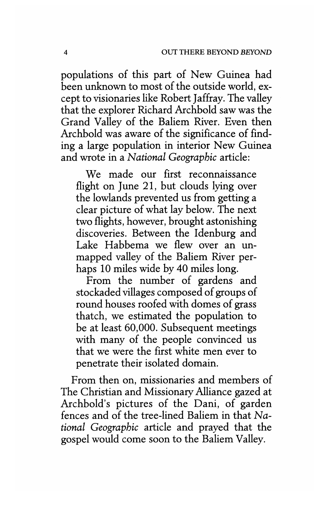populations of this part of New Guinea had been unknown to most of the outside world, except to visionaries like Robert Jaffray. The valley that the explorer Richard Archbold saw was the Grand Valley of the Baliem River. Even then Archbold was aware of the significance of finding a large population in interior New Guinea and wrote in a *National Geographic* article:

We made our first reconnaissance flight on June 21, but clouds lying over the lowlands prevented us from getting a clear picture of what lay below. The next two flights, however, brought astonishing discoveries. Between the Idenburg and Lake Habbema we flew over an unmapped valley of the Baliem River perhaps 10 miles wide by 40 miles long.

From the number of gardens and stockaded villages composed of groups of round houses roofed with domes of grass thatch, we estimated the population to be at least 60,000. Subsequent meetings with many of the people convinced us that we were the first white men ever to penetrate their isolated domain.

From then on, missionaries and members of The Christian and Missionary Alliance gazed at Archbold's pictures of the Dani, of garden fences and of the tree-lined Baliem in that *National Geographic* article and prayed that the gospel would come soon to the Baliem Valley.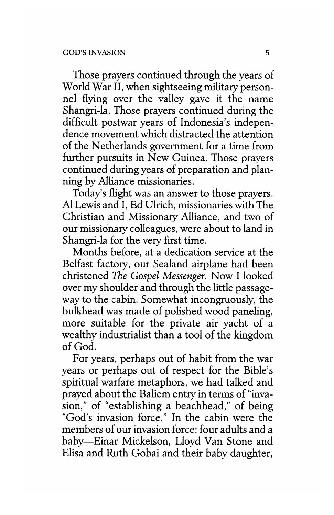Those prayers continued through the years of World War II, when sightseeing military personnel flying over the valley gave it the name Shangri-la. Those prayers continued during the difficult postwar years of Indonesia's independence movement which distracted the attention of the Netherlands government for a time from further pursuits in New Guinea. Those prayers continued during years of preparation and planning by Alliance missionaries.

Today's flight was an answer to those prayers. A1 Lewis and I, Ed Ulrich, missionaries with The Christian and Missionary Alliance, and two of our missionary colleagues, were about to land in Shangri-la for the very first time.

Months before, at a dedication service at the Belfast factory, our Sealand airplane had been christened *The Gospel Messenger.* Now I looked over my shoulder and through the little passageway to the cabin. Somewhat incongruously, the bulkhead was made of polished wood paneling, more suitable for the private air yacht of a wealthy industrialist than a tool of the kingdom of God.

For years, perhaps out of habit from the war years or perhaps out of respect for the Bible's spiritual warfare metaphors, we had talked and prayed about the Baliem entry in terms of "invasion," of "establishing a beachhead," of being "God's invasion force." In the cabin were the members of our invasion force: four adults and a baby-Einar Mickelson, Lloyd Van Stone and Elisa and Ruth Gobai and their baby daughter,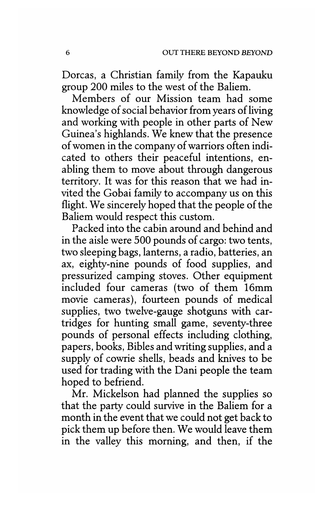Dorcas, a Christian family from the Kapauku group 200 miles to the west of the Baliem.

Members of our Mission team had some knowledge of social behavior from years of living and working with people in other parts of New Guinea's highlands. We knew that the presence of women in the company of warriors often indicated to others their peaceful intentions, enabling them to move about through dangerous territory. It was for this reason that we had invited the Gobai family to accompany us on this flight. We sincerely hoped that the people of the Baliem would respect this custom.

Packed into the cabin around and behind and in the aisle were 500 pounds of cargo: two tents, two sleeping bags, lanterns, a radio, batteries, an ax, eighty-nine pounds of food supplies, and pressurized camping stoves. Other equipment included four cameras (two of them 16mm movie cameras), fourteen pounds of medical supplies, two twelve-gauge shotguns with cartridges for hunting small game, seventy-three pounds of personal effects including clothing, papers, books, Bibles and writing supplies, and a supply of cowrie shells, beads and knives to be used for trading with the Dani people the team hoped to befriend.

Mr. Mickelson had planned the supplies so that the party could survive in the Baliem for a month in the event that we could not get back to pick them up before then. We would leave them in the valley this morning, and then, if the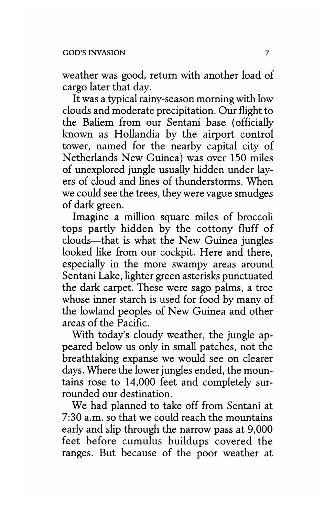weather was good, return with another load of cargo later that day.

It was a typical rainy-season morning with low clouds and moderate precipitation. Our flight to the Baliem from our Sentani base (officially known as Hollandia by the airport control tower, named for the nearby capital city of Netherlands New Guinea) was over 150 miles of unexplored jungle usually hidden under layers of cloud and lines of thunderstorms. When we could see the trees, they were vague smudges of dark green.

Imagine a million square miles of broccoli tops partly hidden by the cottony fluff of clouds-that is what the New Guinea jungles looked like from our cockpit. Here and there, especially in the more swampy areas around Sentani Lake, lighter green asterisks punctuated the dark carpet. These were sago palms, a tree whose inner starch is used for food by many of the lowland peoples of New Guinea and other areas of the Pacific.

With today's cloudy weather, the jungle appeared below us only in small patches, not the breathtaking expanse we would see on clearer days. Where the lower jungles ended, the mountains rose to 14,000 feet and completely surrounded our destination.

We had planned to take off from Sentani at 7:30 a.m. so that we could reach the mountains early and slip through the narrow pass at 9,000 feet before cumulus buildups covered the ranges. But because of the poor weather at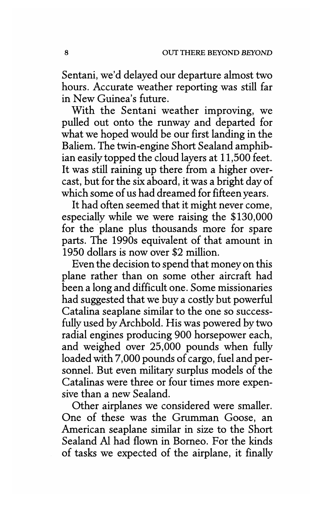Sentani, we'd delayed our departure almost two hours. Accurate weather reporting was still far in New Guinea's future.

With the Sentani weather improving, we pulled out onto the runway and departed for what we hoped would be our first landing in the Baliem. The twin-engine Short Sealand amphibian easily topped the cloud layers at 11,500 feet. It was still raining up there from a higher overcast, but for the six aboard, it was a bright day of which some of us had dreamed for fifteen years.

It had often seemed that it might never come, especially while we were raising the \$130,000 for the plane plus thousands more for spare parts. The 1990s equivalent of that amount in 1950 dollars is now over \$2 million.

Even the decision to spend that money on this plane rather than on some other aircraft had been a long and difficult one. Some missionaries had suggested that we buy a costly but powerful Catalina seaplane similar to the one so successfully used by Archbold. His was powered by two radial engines producing 900 horsepower each, and weighed over 25,000 pounds when fully loaded with 7,000 pounds of cargo, fuel and personnel. But even military surplus models of the Catalinas were three or four times more expensive than a new Sealand.

Other airplanes we considered were smaller. One of these was the Grumman Goose, an American seaplane similar in size to the Short Sealand Al had flown in Borneo. For the kinds of tasks we expected of the airplane, it finally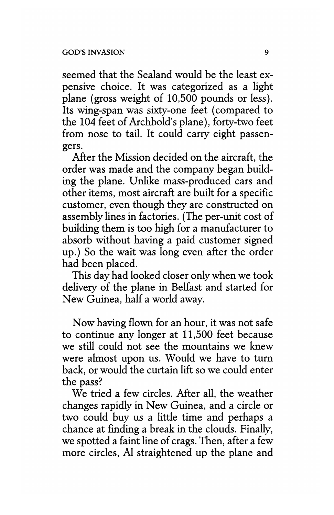seemed that the Sealand would be the least expensive choice. It was categorized as a light plane (gross weight of 10,500 pounds or less). Its wing-span was sixty-one feet (compared to the 104 feet of Archbold's plane), forty-two feet from nose to tail. It could carry eight passengers.

After the Mission decided on the aircraft, the order was made and the company began building the plane. Unlike mass-produced cars and other items, most aircraft are built for a specific customer, even though they are constructed on assembly lines in factories. (The per-unit cost of building them is too high for a manufacturer to absorb without having a paid customer signed up.) So the wait was long even after the order had been placed.

This day had looked closer only when we took delivery of the plane in Belfast and started for New Guinea, half a world away.

Now having flown for an hour, it was not safe to continue any longer at 11,500 feet because we still could not see the mountains we knew were almost upon us. Would we have to tum back, or would the curtain lift so we could enter the pass?

We tried a few circles. After all, the weather changes rapidly in New Guinea, and a circle or two could buy us a little time and perhaps a chance at finding a break in the clouds. Finally, we spotted a faint line of crags. Then, after a few more circles, *Al* straightened up the plane and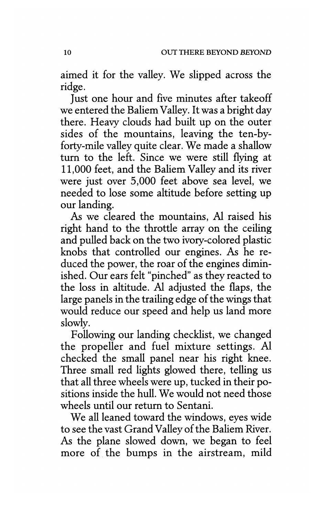aimed it for the valley. We slipped across the ridge.

Just one hour and five minutes after takeoff we entered the Baliem Valley. It was a bright day there. Heavy clouds had built up on the outer sides of the mountains, leaving the ten-byforty-mile valley quite clear. We made a shallow turn to the left. Since we were still flying at 11,000 feet, and the Baliem Valley and its river were just over 5,000 feet above sea level, we needed to lose some altitude before setting up our landing.

*As* we cleared the mountains, A1 raised his right hand to the throttle array on the ceiling and pulled back on the two ivory-colored plastic knobs that controlled our engines. *As* he reduced the power, the roar of the engines diminished. Our ears felt "pinched" as they reacted to the loss in altitude. A1 adjusted the flaps, the large panels in the trailing edge of the wings that would reduce our speed and help us land more slowly.

Following our landing checklist, we changed the propeller and fuel mixture settings. Al checked the small panel near his right knee. Three small red lights glowed there, telling us that all three wheels were up, tucked in their positions inside the hull. We would not need those wheels until our return to Sentani.

We all leaned toward the windows, eyes wide to see the vast Grand Valley of the Baliem River. *As* the plane slowed down, we began to feel more of the bumps in the airstream, mild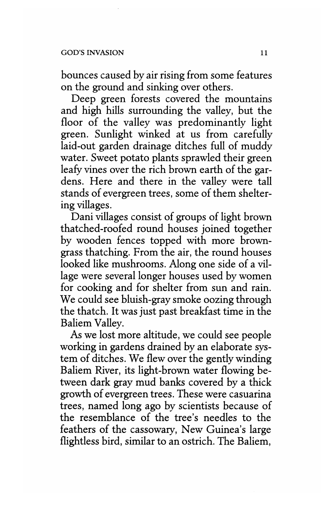bounces caused by air rising from some features on the ground and sinking over others.

Deep green forests covered the mountains and high hills surrounding the valley, but the floor of the valley was predominantly light green. Sunlight winked at us from carefully laid-out garden drainage ditches full of muddy water. Sweet potato plants sprawled their green leafy vines over the rich brown earth of the gardens. Here and there in the valley were tall stands of evergreen trees, some of them sheltering villages.

Dani villages consist of groups of light brown thatched-roofed round houses joined together by wooden fences topped with more browngrass thatching. From the air, the round houses looked like mushrooms. Along one side of a village were several longer houses used by women for cooking and for shelter from sun and rain. We could see bluish-gray smoke oozing through the thatch. It was just past breakfast time in the Baliem Valley.

As we lost more altitude, we could see people working in gardens drained by an elaborate system of ditches. We flew over the gently winding Baliem River, its light-brown water flowing between dark gray mud banks covered by a thick growth of evergreen trees. These were casuarina trees, named long ago by scientists because of the resemblance of the tree's needles to the feathers of the cassowary, New Guinea's large flightless bird, similar to an ostrich. The Baliem,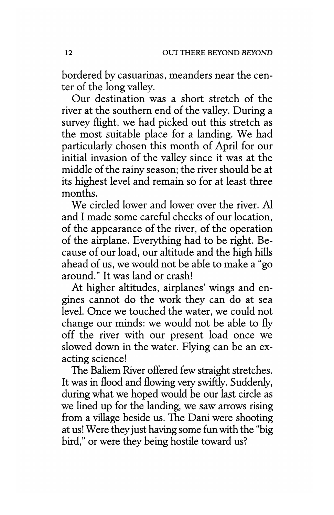bordered by casuarinas, meanders near the center of the long valley.

Our destination was a short stretch of the river at the southern end of the valley. During a survey flight, we had picked out this stretch as the most suitable place for a landing. We had particularly chosen this month of April for our initial invasion of the valley since it was at the middle of the rainy season; the river should be at its highest level and remain so for at least three months.

We circled lower and lower over the river. Al and I made some careful checks of our location, of the appearance of the river, of the operation of the airplane. Everything had to be right. Because of our load, our altitude and the high hills ahead of us, we would not be able to make a "go around." It was land or crash!

At higher altitudes, airplanes' wings and engines cannot do the work they can do at sea level. Once we touched the water, we could not change our minds: we would not be able to fly off the river with our present load once we slowed down in the water. Flying can be an exacting science!

The Baliem River offered few straight stretches. It was in flood and flowing very swiftly. Suddenly, during what we hoped would be our last circle as we lined up for the landing, we saw arrows rising from a village beside us. The Dani were shooting at us! Were they just having some fun with the "big bird," or were they being hostile toward us?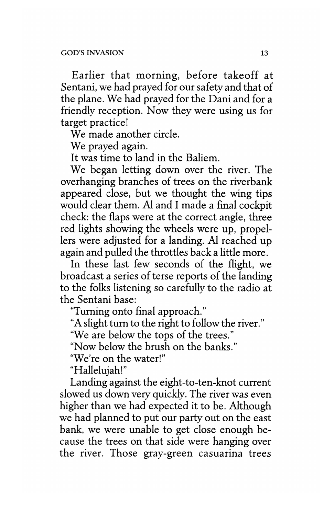Earlier that morning, before takeoff at Sentani, we had prayed for our safety and that of the plane. We had prayed for the Dani and for a friendly reception. Now they were using us for target practice!

We made another circle.

We prayed again.

It was time to land in the Baliem.

We began letting down over the river. The overhanging branches of trees on the riverbank appeared close, but we thought the wing tips would clear them. AI and I made a final cockpit check: the flaps were at the correct angle, three red lights showing the wheels were up, propellers were adjusted for a landing. AI reached up again and pulled the throttles back a little more.

In these last few seconds of the flight, we broadcast a series of terse reports of the landing to the folks listening so carefully to the radio at the Sentani base:

"Turning onto final approach."

"A slight turn to the right to follow the river."

"We are below the tops of the trees."

"Now below the brush on the banks."

"We're on the water!"

"Hallelujah!"

Landing against the eight-to-ten-knot current slowed us down very quickly. The river was even higher than we had expected it to be. Although we had planned to put our party out on the east bank, we were unable to get close enough because the trees on that side were hanging over the river. Those gray-green casuarina trees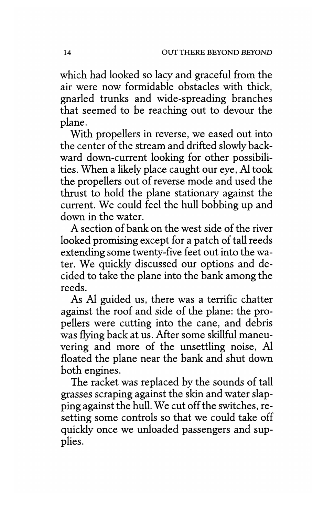which had looked so lacy and graceful from the air were now formidable obstacles with thick, gnarled trunks and wide-spreading branches that seemed to be reaching out to devour the plane.

With propellers in reverse, we eased out into the center of the stream and drifted slowly backward down-current looking for other possibilities. When a likely place caught our eye, Al took the propellers out of reverse mode and used the thrust to hold the plane stationary against the current. We could feel the hull bobbing up and down in the water.

A section of bank on the west side of the river looked promising except for a patch of tall reeds extending some twenty-five feet out into the water. We quickly discussed our options and decided to take the plane into the bank among the reeds.

As Al guided us, there was a terrific chatter against the roof and side of the plane: the propellers were cutting into the cane, and debris was flying back at us. After some skillful maneuvering and more of the unsettling noise, Al floated the plane near the bank and shut down both engines.

The racket was replaced by the sounds of tall grasses scraping against the skin and water slapping against the hull. We cut off the switches, resetting some controls so that we could take off quickly once we unloaded passengers and supplies.